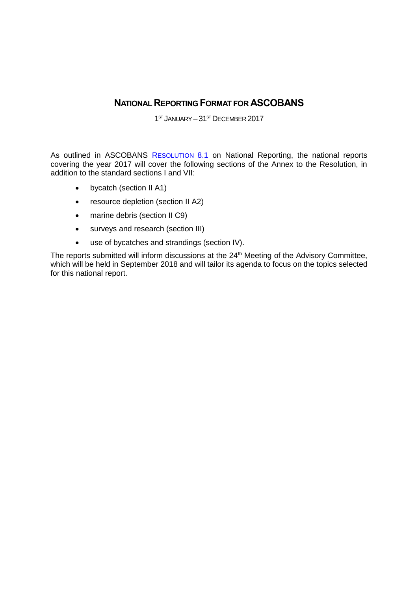## **NATIONAL REPORTING FORMAT FOR ASCOBANS**

1<sup>ST</sup> JANUARY - 31<sup>ST</sup> DECEMBER 2017

As outlined in ASCOBANS R[ESOLUTION](http://www.ascobans.org/sites/default/files/document/MOP8_2016-1_NationalReporting.pdf) 8.1 on National Reporting, the national reports covering the year 2017 will cover the following sections of the Annex to the Resolution, in addition to the standard sections I and VII:

- bycatch (section II A1)
- resource depletion (section II A2)
- marine debris (section II C9)
- surveys and research (section III)
- use of bycatches and strandings (section IV).

The reports submitted will inform discussions at the 24<sup>th</sup> Meeting of the Advisory Committee, which will be held in September 2018 and will tailor its agenda to focus on the topics selected for this national report.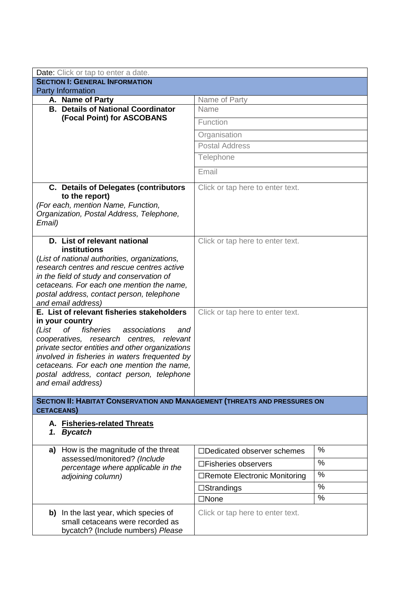| Date: Click or tap to enter a date.                                                    |                                   |   |  |  |
|----------------------------------------------------------------------------------------|-----------------------------------|---|--|--|
| <b>SECTION I: GENERAL INFORMATION</b>                                                  |                                   |   |  |  |
| <b>Party Information</b>                                                               |                                   |   |  |  |
| A. Name of Party<br><b>B. Details of National Coordinator</b>                          | Name of Party<br>Name             |   |  |  |
| (Focal Point) for ASCOBANS                                                             |                                   |   |  |  |
|                                                                                        | Function                          |   |  |  |
|                                                                                        | Organisation                      |   |  |  |
|                                                                                        | <b>Postal Address</b>             |   |  |  |
|                                                                                        | Telephone                         |   |  |  |
|                                                                                        | Email                             |   |  |  |
| <b>C.</b> Details of Delegates (contributors                                           | Click or tap here to enter text.  |   |  |  |
| to the report)                                                                         |                                   |   |  |  |
| (For each, mention Name, Function,                                                     |                                   |   |  |  |
| Organization, Postal Address, Telephone,<br>Email)                                     |                                   |   |  |  |
|                                                                                        |                                   |   |  |  |
| D. List of relevant national                                                           | Click or tap here to enter text.  |   |  |  |
| <b>institutions</b>                                                                    |                                   |   |  |  |
| (List of national authorities, organizations,                                          |                                   |   |  |  |
| research centres and rescue centres active                                             |                                   |   |  |  |
| in the field of study and conservation of<br>cetaceans. For each one mention the name, |                                   |   |  |  |
| postal address, contact person, telephone                                              |                                   |   |  |  |
| and email address)                                                                     |                                   |   |  |  |
| E. List of relevant fisheries stakeholders                                             | Click or tap here to enter text.  |   |  |  |
| in your country                                                                        |                                   |   |  |  |
| fisheries<br>(List<br>оf<br>associations<br>and                                        |                                   |   |  |  |
| cooperatives, research<br>centres, relevant                                            |                                   |   |  |  |
| private sector entities and other organizations                                        |                                   |   |  |  |
| involved in fisheries in waters frequented by                                          |                                   |   |  |  |
| cetaceans. For each one mention the name,<br>postal address, contact person, telephone |                                   |   |  |  |
| and email address)                                                                     |                                   |   |  |  |
|                                                                                        |                                   |   |  |  |
| <b>SECTION II: HABITAT CONSERVATION AND MANAGEMENT (THREATS AND PRESSURES ON</b>       |                                   |   |  |  |
| <b>CETACEANS)</b>                                                                      |                                   |   |  |  |
| A. Fisheries-related Threats                                                           |                                   |   |  |  |
| <b>Bycatch</b><br>1.                                                                   |                                   |   |  |  |
| How is the magnitude of the threat<br>a)                                               | $\Box$ Dedicated observer schemes | % |  |  |
| assessed/monitored? (Include                                                           | □Fisheries observers              | % |  |  |
| percentage where applicable in the<br>adjoining column)                                | □Remote Electronic Monitoring     | % |  |  |
|                                                                                        | $\square$ Strandings              | % |  |  |
|                                                                                        | $\square$ None                    | % |  |  |
|                                                                                        |                                   |   |  |  |
| b) In the last year, which species of<br>small cetaceans were recorded as              | Click or tap here to enter text.  |   |  |  |
| bycatch? (Include numbers) Please                                                      |                                   |   |  |  |
|                                                                                        |                                   |   |  |  |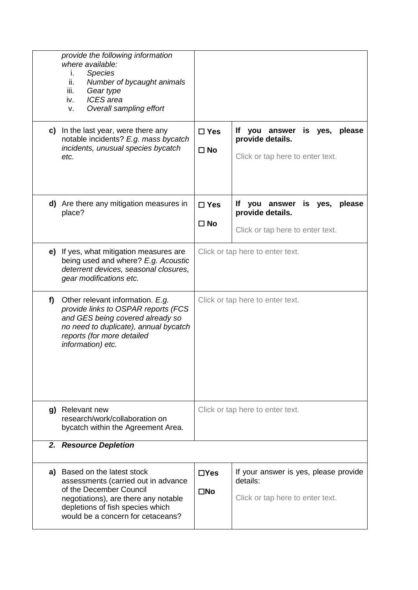|   | provide the following information<br>where available:<br><b>Species</b><br>L.<br>ii.<br>Number of bycaught animals<br>iii.<br>Gear type<br><b>ICES</b> area<br>iv.<br>Overall sampling effort<br>v.             |                                  |                                                                                                   |  |
|---|-----------------------------------------------------------------------------------------------------------------------------------------------------------------------------------------------------------------|----------------------------------|---------------------------------------------------------------------------------------------------|--|
|   | c) In the last year, were there any<br>notable incidents? E.g. mass bycatch<br>incidents, unusual species bycatch<br>etc.                                                                                       | $\Box$ Yes<br>$\square$ No       | If you answer is yes,<br>please<br>provide details.<br>Click or tap here to enter text.           |  |
|   | d) Are there any mitigation measures in<br>place?                                                                                                                                                               | $\square$ Yes<br>$\square$ No    | you answer<br>please<br>lf.<br>is<br>yes,<br>provide details.<br>Click or tap here to enter text. |  |
|   | e) If yes, what mitigation measures are<br>being used and where? E.g. Acoustic<br>deterrent devices, seasonal closures,<br>gear modifications etc.                                                              | Click or tap here to enter text. |                                                                                                   |  |
| f | Other relevant information. E.g.<br>provide links to OSPAR reports (FCS<br>and GES being covered already so<br>no need to duplicate), annual bycatch<br>reports (for more detailed<br>information) etc.         | Click or tap here to enter text. |                                                                                                   |  |
|   | g) Relevant new<br>research/work/collaboration on<br>bycatch within the Agreement Area.                                                                                                                         | Click or tap here to enter text. |                                                                                                   |  |
|   | 2. Resource Depletion                                                                                                                                                                                           |                                  |                                                                                                   |  |
|   | a) Based on the latest stock<br>assessments (carried out in advance<br>of the December Council<br>negotiations), are there any notable<br>depletions of fish species which<br>would be a concern for cetaceans? | $\Box$ Yes<br>$\square$ No       | If your answer is yes, please provide<br>details:<br>Click or tap here to enter text.             |  |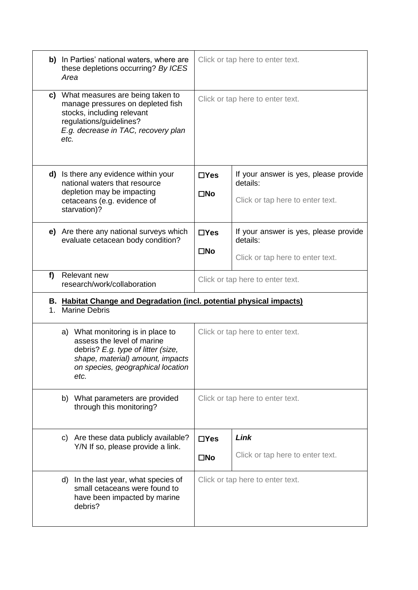|    | b) In Parties' national waters, where are<br>these depletions occurring? By ICES<br>Area                                                                                               | Click or tap here to enter text. |                                                                                       |  |
|----|----------------------------------------------------------------------------------------------------------------------------------------------------------------------------------------|----------------------------------|---------------------------------------------------------------------------------------|--|
|    | c) What measures are being taken to<br>manage pressures on depleted fish<br>stocks, including relevant<br>regulations/guidelines?<br>E.g. decrease in TAC, recovery plan<br>etc.       | Click or tap here to enter text. |                                                                                       |  |
|    | d) Is there any evidence within your<br>national waters that resource<br>depletion may be impacting<br>cetaceans (e.g. evidence of<br>starvation)?                                     | $\Box$ Yes<br>$\square$ No       | If your answer is yes, please provide<br>details:<br>Click or tap here to enter text. |  |
|    | e) Are there any national surveys which<br>evaluate cetacean body condition?                                                                                                           | $\Box$ Yes<br>$\square$ No       | If your answer is yes, please provide<br>details:<br>Click or tap here to enter text. |  |
| f) | Relevant new<br>research/work/collaboration                                                                                                                                            | Click or tap here to enter text. |                                                                                       |  |
| 1. | B. Habitat Change and Degradation (incl. potential physical impacts)<br><b>Marine Debris</b>                                                                                           |                                  |                                                                                       |  |
|    | a) What monitoring is in place to<br>assess the level of marine<br>debris? E.g. type of litter (size,<br>shape, material) amount, impacts<br>on species, geographical location<br>etc. |                                  | Click or tap here to enter text.                                                      |  |
|    | b) What parameters are provided<br>through this monitoring?                                                                                                                            | Click or tap here to enter text. |                                                                                       |  |
|    | c) Are these data publicly available?<br>Y/N If so, please provide a link.                                                                                                             | $\Box$ Yes<br>$\square$ No       | Link<br>Click or tap here to enter text.                                              |  |
|    | d) In the last year, what species of<br>small cetaceans were found to<br>have been impacted by marine<br>debris?                                                                       | Click or tap here to enter text. |                                                                                       |  |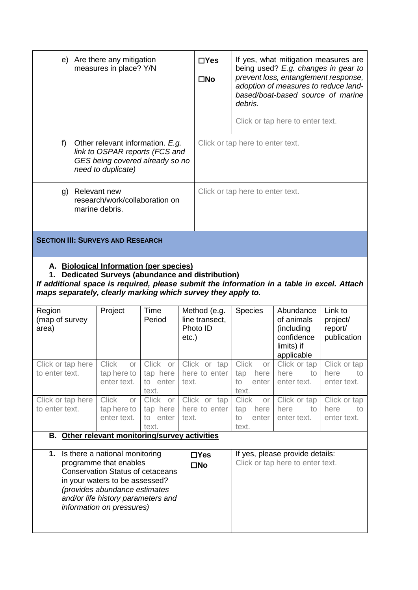| e) Are there any mitigation<br>measures in place? Y/N                                                                             |                                                                                                                                                                                                                                                            |                                                    | $\Box$ Yes<br>$\square$ No                 | debris.                                                              | If yes, what mitigation measures are<br>being used? E.g. changes in gear to<br>prevent loss, entanglement response,<br>adoption of measures to reduce land-<br>based/boat-based source of marine<br>Click or tap here to enter text. |                                           |  |
|-----------------------------------------------------------------------------------------------------------------------------------|------------------------------------------------------------------------------------------------------------------------------------------------------------------------------------------------------------------------------------------------------------|----------------------------------------------------|--------------------------------------------|----------------------------------------------------------------------|--------------------------------------------------------------------------------------------------------------------------------------------------------------------------------------------------------------------------------------|-------------------------------------------|--|
|                                                                                                                                   |                                                                                                                                                                                                                                                            |                                                    |                                            |                                                                      |                                                                                                                                                                                                                                      |                                           |  |
| f)<br>Other relevant information. E.g.<br>link to OSPAR reports (FCS and<br>GES being covered already so no<br>need to duplicate) |                                                                                                                                                                                                                                                            |                                                    |                                            | Click or tap here to enter text.                                     |                                                                                                                                                                                                                                      |                                           |  |
| g) Relevant new<br>research/work/collaboration on<br>marine debris.                                                               |                                                                                                                                                                                                                                                            |                                                    |                                            | Click or tap here to enter text.                                     |                                                                                                                                                                                                                                      |                                           |  |
| <b>SECTION III: SURVEYS AND RESEARCH</b>                                                                                          |                                                                                                                                                                                                                                                            |                                                    |                                            |                                                                      |                                                                                                                                                                                                                                      |                                           |  |
|                                                                                                                                   | A. Biological Information (per species)<br>1. Dedicated Surveys (abundance and distribution)<br>If additional space is required, please submit the information in a table in excel. Attach<br>maps separately, clearly marking which survey they apply to. |                                                    |                                            |                                                                      |                                                                                                                                                                                                                                      |                                           |  |
| Region<br>(map of survey<br>area)                                                                                                 | Project                                                                                                                                                                                                                                                    | Time<br>Period                                     | Method (e.g.<br>line transect,<br>Photo ID | <b>Species</b>                                                       | Abundance<br>of animals<br>(including)                                                                                                                                                                                               | Link to<br>project/                       |  |
|                                                                                                                                   |                                                                                                                                                                                                                                                            |                                                    | $etc.$ )                                   |                                                                      | confidence<br>limits) if                                                                                                                                                                                                             | report/<br>publication                    |  |
| Click or tap here Click<br>to enter text.                                                                                         | or<br>tap here to<br>enter text.                                                                                                                                                                                                                           | Click or<br>tap here<br>to enter                   | Click or tap<br>here to enter<br>text.     | Click or<br>here<br>tap<br>enter<br>to                               | applicable<br>Click or tap<br>here<br>to<br>enter text.                                                                                                                                                                              | Click or tap<br>here<br>to<br>enter text. |  |
| Click or tap here<br>to enter text.                                                                                               | <b>Click</b><br>or<br>tap here to<br>enter text.                                                                                                                                                                                                           | text.<br>Click or<br>tap here<br>to enter<br>text. | Click or tap<br>here to enter<br>text.     | text.<br><b>Click</b><br>or I<br>here<br>tap<br>enter<br>to<br>text. | Click or tap<br>here<br>to<br>enter text.                                                                                                                                                                                            | Click or tap<br>here<br>to<br>enter text. |  |
| B. Other relevant monitoring/survey activities                                                                                    |                                                                                                                                                                                                                                                            |                                                    |                                            |                                                                      |                                                                                                                                                                                                                                      |                                           |  |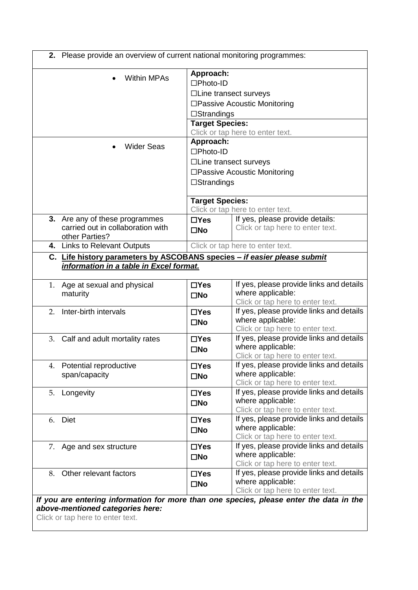|    | <b>Within MPAs</b>                                                       | Approach:<br>$\square$ Photo-ID |                                                                                                                                                                                                                                                                                                                                                                                                                       |
|----|--------------------------------------------------------------------------|---------------------------------|-----------------------------------------------------------------------------------------------------------------------------------------------------------------------------------------------------------------------------------------------------------------------------------------------------------------------------------------------------------------------------------------------------------------------|
|    |                                                                          |                                 | $\Box$ Line transect surveys                                                                                                                                                                                                                                                                                                                                                                                          |
|    |                                                                          |                                 |                                                                                                                                                                                                                                                                                                                                                                                                                       |
|    |                                                                          |                                 | □Passive Acoustic Monitoring                                                                                                                                                                                                                                                                                                                                                                                          |
|    |                                                                          | $\square$ Strandings            |                                                                                                                                                                                                                                                                                                                                                                                                                       |
|    |                                                                          | <b>Target Species:</b>          |                                                                                                                                                                                                                                                                                                                                                                                                                       |
|    |                                                                          | Approach:                       | Click or tap here to enter text.                                                                                                                                                                                                                                                                                                                                                                                      |
|    | <b>Wider Seas</b>                                                        | □Photo-ID                       |                                                                                                                                                                                                                                                                                                                                                                                                                       |
|    |                                                                          |                                 |                                                                                                                                                                                                                                                                                                                                                                                                                       |
|    |                                                                          |                                 | $\Box$ Line transect surveys                                                                                                                                                                                                                                                                                                                                                                                          |
|    |                                                                          |                                 | □Passive Acoustic Monitoring                                                                                                                                                                                                                                                                                                                                                                                          |
|    |                                                                          | $\square$ Strandings            |                                                                                                                                                                                                                                                                                                                                                                                                                       |
|    |                                                                          | <b>Target Species:</b>          |                                                                                                                                                                                                                                                                                                                                                                                                                       |
|    |                                                                          |                                 | Click or tap here to enter text.                                                                                                                                                                                                                                                                                                                                                                                      |
|    | 3. Are any of these programmes                                           | $\Box$ Yes                      | If yes, please provide details:                                                                                                                                                                                                                                                                                                                                                                                       |
|    | carried out in collaboration with                                        | $\square$ No                    | Click or tap here to enter text.                                                                                                                                                                                                                                                                                                                                                                                      |
|    | other Parties?                                                           |                                 |                                                                                                                                                                                                                                                                                                                                                                                                                       |
|    | 4. Links to Relevant Outputs                                             |                                 | Click or tap here to enter text.                                                                                                                                                                                                                                                                                                                                                                                      |
|    | C. Life history parameters by ASCOBANS species - if easier please submit |                                 |                                                                                                                                                                                                                                                                                                                                                                                                                       |
|    | information in a table in Excel format.                                  |                                 |                                                                                                                                                                                                                                                                                                                                                                                                                       |
|    |                                                                          |                                 |                                                                                                                                                                                                                                                                                                                                                                                                                       |
|    |                                                                          |                                 |                                                                                                                                                                                                                                                                                                                                                                                                                       |
| 1. | Age at sexual and physical                                               | $\Box$ Yes                      |                                                                                                                                                                                                                                                                                                                                                                                                                       |
|    | maturity                                                                 | $\square$ No                    | where applicable:<br>Click or tap here to enter text.                                                                                                                                                                                                                                                                                                                                                                 |
| 2. | Inter-birth intervals                                                    | $\Box$ Yes                      |                                                                                                                                                                                                                                                                                                                                                                                                                       |
|    |                                                                          | $\square$ No                    | where applicable:                                                                                                                                                                                                                                                                                                                                                                                                     |
|    |                                                                          |                                 | Click or tap here to enter text.                                                                                                                                                                                                                                                                                                                                                                                      |
|    | 3. Calf and adult mortality rates                                        | $\Box$ Yes                      |                                                                                                                                                                                                                                                                                                                                                                                                                       |
|    |                                                                          | $\square$ No                    | where applicable:                                                                                                                                                                                                                                                                                                                                                                                                     |
|    |                                                                          |                                 | Click or tap here to enter text.                                                                                                                                                                                                                                                                                                                                                                                      |
| 4. | Potential reproductive                                                   | $\Box$ Yes                      |                                                                                                                                                                                                                                                                                                                                                                                                                       |
|    | span/capacity                                                            | $\square$ No                    | where applicable:                                                                                                                                                                                                                                                                                                                                                                                                     |
|    |                                                                          |                                 | Click or tap here to enter text.                                                                                                                                                                                                                                                                                                                                                                                      |
| 5. | Longevity                                                                | $\Box$ Yes                      |                                                                                                                                                                                                                                                                                                                                                                                                                       |
|    |                                                                          | $\square$ No                    | where applicable:                                                                                                                                                                                                                                                                                                                                                                                                     |
|    |                                                                          |                                 | Click or tap here to enter text.                                                                                                                                                                                                                                                                                                                                                                                      |
|    | 6. Diet                                                                  | $\Box$ Yes                      |                                                                                                                                                                                                                                                                                                                                                                                                                       |
|    |                                                                          | $\square$ No                    | where applicable:<br>Click or tap here to enter text.                                                                                                                                                                                                                                                                                                                                                                 |
|    |                                                                          | $\Box$ Yes                      |                                                                                                                                                                                                                                                                                                                                                                                                                       |
|    | 7. Age and sex structure                                                 |                                 | where applicable:                                                                                                                                                                                                                                                                                                                                                                                                     |
|    |                                                                          | $\square$ No                    | Click or tap here to enter text.                                                                                                                                                                                                                                                                                                                                                                                      |
| 8. | Other relevant factors                                                   | $\Box$ Yes                      |                                                                                                                                                                                                                                                                                                                                                                                                                       |
|    |                                                                          | $\square$ No                    | If yes, please provide links and details<br>If yes, please provide links and details<br>If yes, please provide links and details<br>If yes, please provide links and details<br>If yes, please provide links and details<br>If yes, please provide links and details<br>If yes, please provide links and details<br>If yes, please provide links and details<br>where applicable:<br>Click or tap here to enter text. |

Click or tap here to enter text.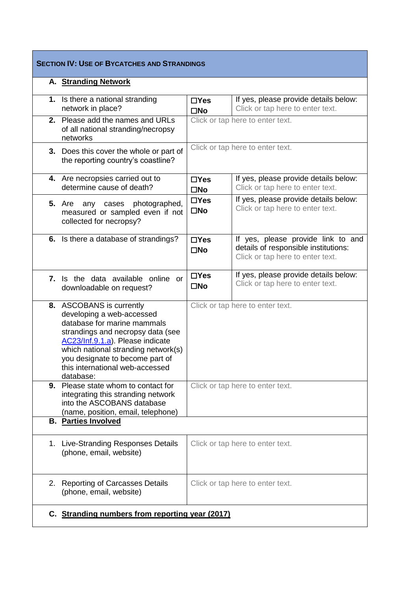| <b>SECTION IV: USE OF BYCATCHES AND STRANDINGS</b>                                                                                                                                                                                                                                      |                            |                                                                                                                |
|-----------------------------------------------------------------------------------------------------------------------------------------------------------------------------------------------------------------------------------------------------------------------------------------|----------------------------|----------------------------------------------------------------------------------------------------------------|
| A. Stranding Network                                                                                                                                                                                                                                                                    |                            |                                                                                                                |
| 1. Is there a national stranding<br>network in place?                                                                                                                                                                                                                                   | $\Box$ Yes<br>$\square$ No | If yes, please provide details below:<br>Click or tap here to enter text.                                      |
| 2. Please add the names and URLs<br>of all national stranding/necropsy<br>networks                                                                                                                                                                                                      |                            | Click or tap here to enter text.                                                                               |
| 3. Does this cover the whole or part of<br>the reporting country's coastline?                                                                                                                                                                                                           |                            | Click or tap here to enter text.                                                                               |
| 4. Are necropsies carried out to<br>determine cause of death?                                                                                                                                                                                                                           | $\Box$ Yes<br>$\square$ No | If yes, please provide details below:<br>Click or tap here to enter text.                                      |
| <b>5.</b> Are<br>photographed,<br>any cases<br>measured or sampled even if not<br>collected for necropsy?                                                                                                                                                                               | $\Box$ Yes<br>$\square$ No | If yes, please provide details below:<br>Click or tap here to enter text.                                      |
| 6. Is there a database of strandings?                                                                                                                                                                                                                                                   | $\Box$ Yes<br>$\square$ No | If yes, please provide link to and<br>details of responsible institutions:<br>Click or tap here to enter text. |
| 7. Is the data available online or<br>downloadable on request?                                                                                                                                                                                                                          | $\Box$ Yes<br>$\square$ No | If yes, please provide details below:<br>Click or tap here to enter text.                                      |
| 8. ASCOBANS is currently<br>developing a web-accessed<br>database for marine mammals<br>strandings and necropsy data (see<br>AC23/Inf.9.1.a). Please indicate<br>which national stranding network(s)<br>you designate to become part of<br>this international web-accessed<br>database: |                            | Click or tap here to enter text.                                                                               |
| <b>9.</b> Please state whom to contact for<br>integrating this stranding network<br>into the ASCOBANS database<br>(name, position, email, telephone)                                                                                                                                    |                            | Click or tap here to enter text.                                                                               |
| <b>B.</b> Parties Involved                                                                                                                                                                                                                                                              |                            |                                                                                                                |
| 1. Live-Stranding Responses Details<br>(phone, email, website)                                                                                                                                                                                                                          |                            | Click or tap here to enter text.                                                                               |
| 2. Reporting of Carcasses Details<br>(phone, email, website)                                                                                                                                                                                                                            |                            | Click or tap here to enter text.                                                                               |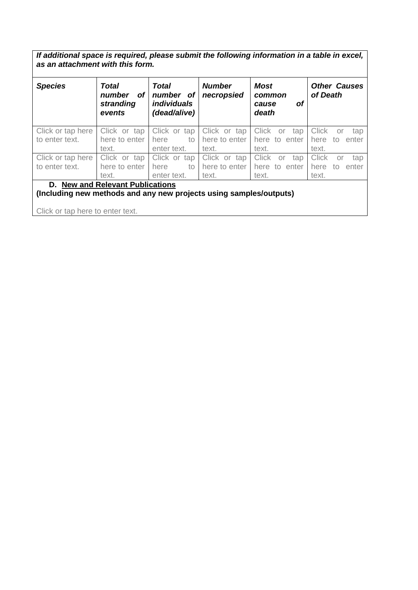*If additional space is required, please submit the following information in a table in excel, as an attachment with this form.* 

| <b>Species</b>                                                                                                   | <b>Total</b><br>number<br>οf<br>stranding<br>events | <b>Total</b><br>number of<br><i>individuals</i><br>(dead/alive) | <b>Number</b><br>necropsied            | Most<br>common<br>οf<br>cause<br>death              | <b>Other Causes</b><br>of Death                           |
|------------------------------------------------------------------------------------------------------------------|-----------------------------------------------------|-----------------------------------------------------------------|----------------------------------------|-----------------------------------------------------|-----------------------------------------------------------|
| Click or tap here<br>to enter text.                                                                              | Click or<br>tap<br>here to enter<br>text.           | Click or tap<br>here<br>to<br>enter text.                       | Click or tap<br>here to enter<br>text. | <b>Click</b><br>tap<br>or<br>here to enter<br>text. | <b>Click</b><br>tap<br>or<br>here<br>enter<br>to<br>text. |
| Click or tap here<br>to enter text.                                                                              | Click or tap<br>here to enter<br>text.              | Click or tap<br>here<br>to<br>enter text.                       | Click or tap<br>here to enter<br>text. | <b>Click</b><br>tap<br>or<br>here to enter<br>text. | <b>Click</b><br>tap<br>or<br>here<br>enter<br>to<br>text. |
| <b>New and Relevant Publications</b><br>D.<br>(Including new methods and any new projects using samples/outputs) |                                                     |                                                                 |                                        |                                                     |                                                           |

Click or tap here to enter text.